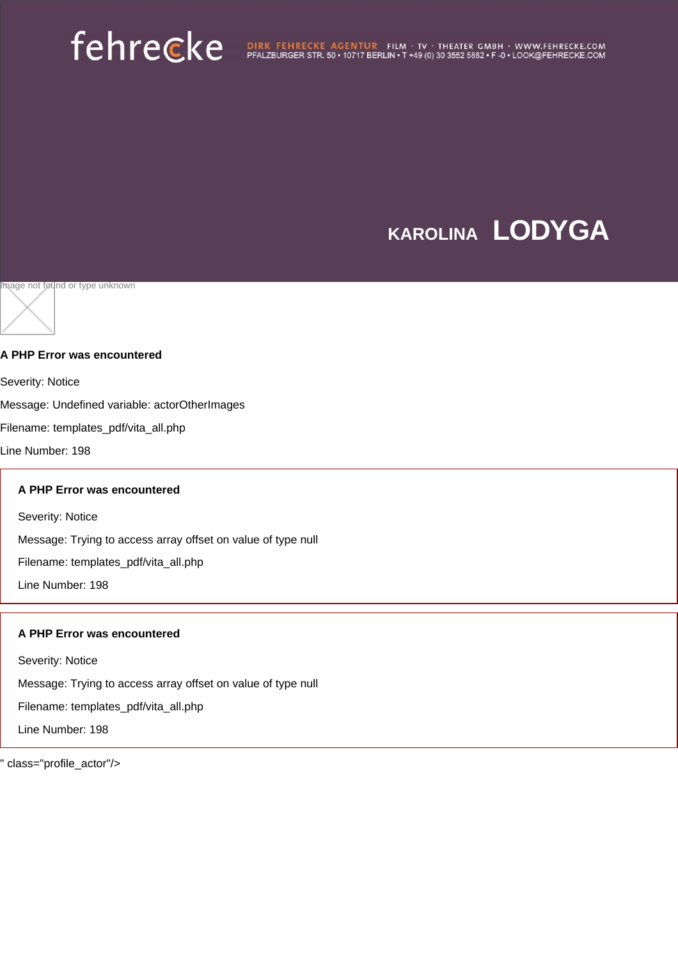## **KAROLINA LODYGA**

Image not found or type unknown

#### **A PHP Error was encountered**

Severity: Notice

Message: Undefined variable: actorOtherImages

Filename: templates\_pdf/vita\_all.php

Line Number: 198

#### **A PHP Error was encountered**

Severity: Notice

Message: Trying to access array offset on value of type null

Filename: templates\_pdf/vita\_all.php

Line Number: 198

#### **A PHP Error was encountered**

Severity: Notice

Message: Trying to access array offset on value of type null

Filename: templates\_pdf/vita\_all.php

Line Number: 198

class="profile\_actor"/>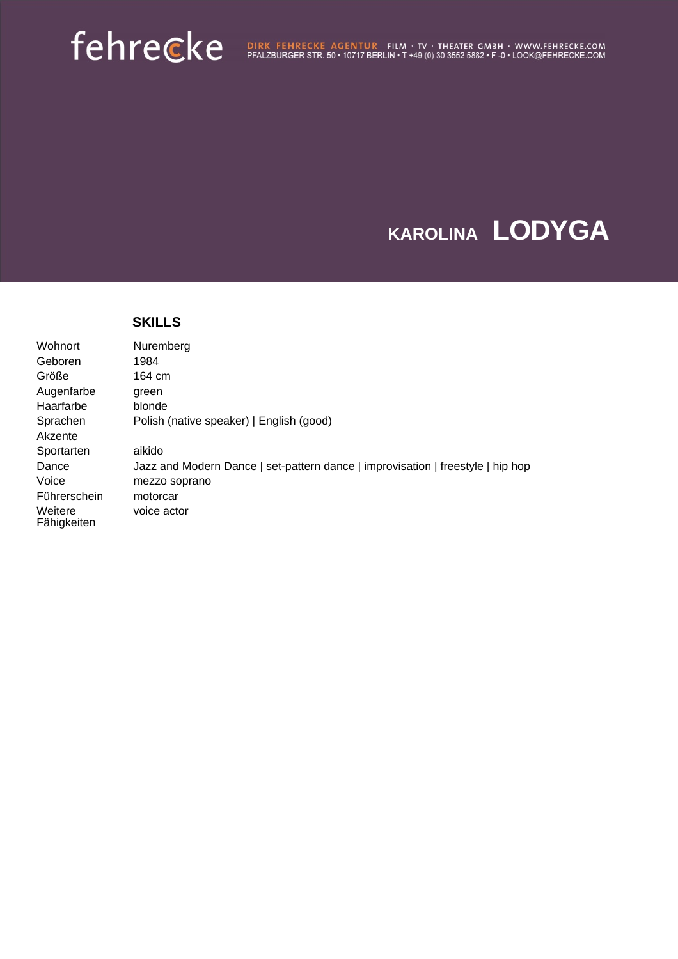### **KAROLINA LODYGA**

|                        | <b>SKILLS</b>                                                                   |
|------------------------|---------------------------------------------------------------------------------|
| Wohnort                | Nuremberg                                                                       |
| Geboren                | 1984                                                                            |
| Größe                  | 164 cm                                                                          |
| Augenfarbe             | green                                                                           |
| Haarfarbe              | blonde                                                                          |
| Sprachen               | Polish (native speaker)   English (good)                                        |
| Akzente                |                                                                                 |
| Sportarten             | aikido                                                                          |
| Dance                  | Jazz and Modern Dance   set-pattern dance   improvisation   freestyle   hip hop |
| Voice                  | mezzo soprano                                                                   |
| Führerschein           | motorcar                                                                        |
| Weitere<br>Fähigkeiten | voice actor                                                                     |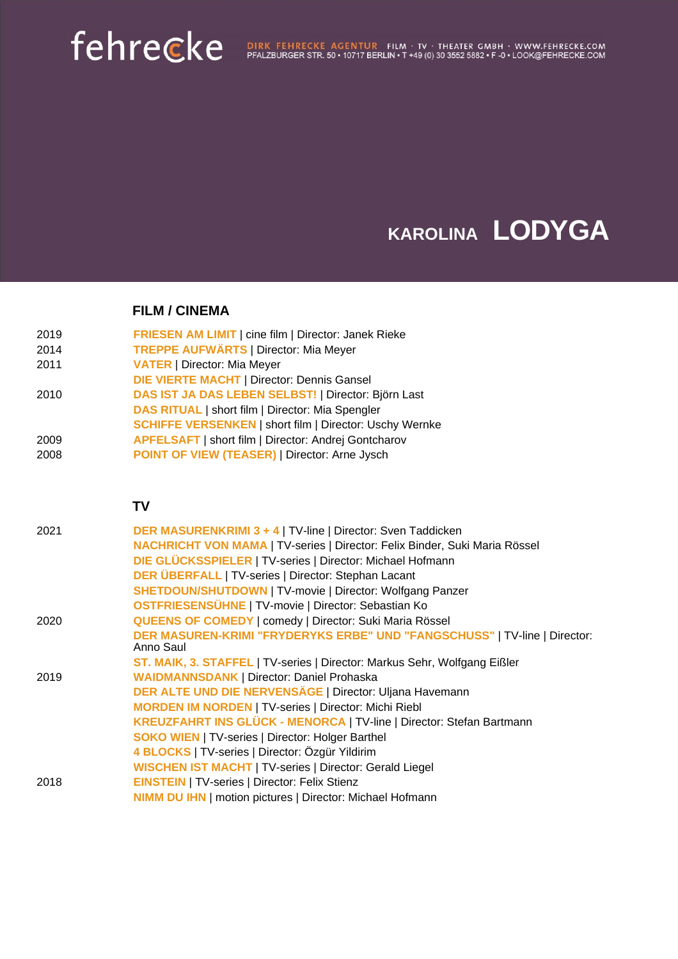### **KAROLINA LODYGA**

**FILM / CINEMA**

| <b>FRIESEN AM LIMIT</b>   cine film   Director: Janek Rieke<br>2019 |
|---------------------------------------------------------------------|
|---------------------------------------------------------------------|

- 2014 **TREPPE AUFWÄRTS** | Director: Mia Meyer
- 2011 **VATER** | Director: Mia Meyer
- **DIE VIERTE MACHT** | Director: Dennis Gansel
- 2010 **DAS IST JA DAS LEBEN SELBST!** | Director: Björn Last
- **DAS RITUAL** | short film | Director: Mia Spengler
- **SCHIFFE VERSENKEN** | short film | Director: Uschy Wernke
- 2009 **APFELSAFT** | short film | Director: Andrej Gontcharov
- 2008 **POINT OF VIEW (TEASER)** | Director: Arne Jysch

**TV**

| 2021 | DER MASURENKRIMI 3 + 4   TV-line   Director: Sven Taddicken<br>NACHRICHT VON MAMA   TV-series   Director: Felix Binder, Suki Maria Rössel |
|------|-------------------------------------------------------------------------------------------------------------------------------------------|
|      | DIE GLÜCKSSPIELER   TV-series   Director: Michael Hofmann                                                                                 |
|      | DER ÜBERFALL   TV-series   Director: Stephan Lacant                                                                                       |
|      | <b>SHETDOUN/SHUTDOWN   TV-movie   Director: Wolfgang Panzer</b>                                                                           |
|      | OSTFRIESENSÜHNE   TV-movie   Director: Sebastian Ko                                                                                       |
| 2020 | <b>QUEENS OF COMEDY   comedy   Director: Suki Maria Rössel</b>                                                                            |
|      | DER MASUREN-KRIMI "FRYDERYKS ERBE" UND "FANGSCHUSS"   TV-line   Director:<br>Anno Saul                                                    |
|      | ST. MAIK, 3. STAFFEL   TV-series   Director: Markus Sehr, Wolfgang Eißler                                                                 |
| 2019 | <b>WAIDMANNSDANK   Director: Daniel Prohaska</b>                                                                                          |
|      | DER ALTE UND DIE NERVENSÄGE   Director: Uljana Havemann                                                                                   |
|      | <b>MORDEN IM NORDEN   TV-series   Director: Michi Riebl</b>                                                                               |
|      | <b>KREUZFAHRT INS GLÜCK - MENORCA   TV-line   Director: Stefan Bartmann</b>                                                               |
|      | <b>SOKO WIEN   TV-series   Director: Holger Barthel</b>                                                                                   |
|      | 4 BLOCKS   TV-series   Director: Özgür Yildirim                                                                                           |
|      | <b>WISCHEN IST MACHT   TV-series   Director: Gerald Liegel</b>                                                                            |
| 2018 | <b>EINSTEIN   TV-series   Director: Felix Stienz</b>                                                                                      |
|      | <b>NIMM DU IHN   motion pictures   Director: Michael Hofmann</b>                                                                          |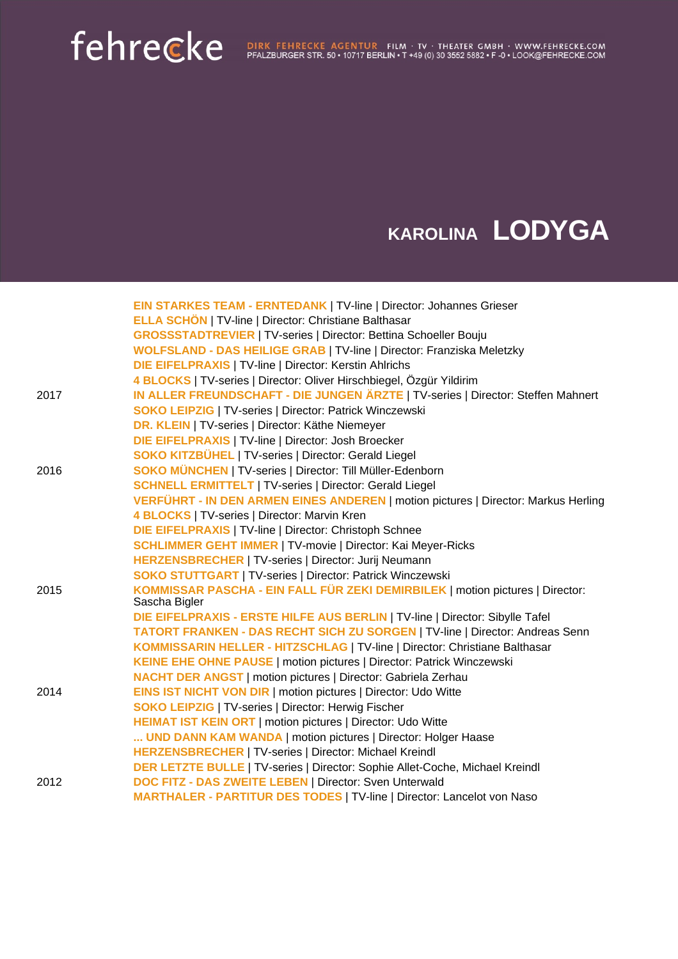# femeter & BIRK FEHRECKE AGENTUR FILM · TV · THEATER GMBH · WWW.FEHRECKE.COM

### **KAROLINA LODYGA**

|      | EIN STARKES TEAM - ERNTEDANK   TV-line   Director: Johannes Grieser<br><b>ELLA SCHÖN   TV-line   Director: Christiane Balthasar</b> |
|------|-------------------------------------------------------------------------------------------------------------------------------------|
|      | <b>GROSSSTADTREVIER   TV-series   Director: Bettina Schoeller Bouju</b>                                                             |
|      | <b>WOLFSLAND - DAS HEILIGE GRAB   TV-line   Director: Franziska Meletzky</b>                                                        |
|      | <b>DIE EIFELPRAXIS   TV-line   Director: Kerstin Ahlrichs</b>                                                                       |
|      | 4 BLOCKS   TV-series   Director: Oliver Hirschbiegel, Özgür Yildirim                                                                |
|      | IN ALLER FREUNDSCHAFT - DIE JUNGEN ÄRZTE   TV-series   Director: Steffen Mahnert                                                    |
| 2017 | <b>SOKO LEIPZIG   TV-series   Director: Patrick Winczewski</b>                                                                      |
|      | DR. KLEIN   TV-series   Director: Käthe Niemeyer                                                                                    |
|      | <b>DIE EIFELPRAXIS   TV-line   Director: Josh Broecker</b>                                                                          |
|      | <b>SOKO KITZBÜHEL   TV-series   Director: Gerald Liegel</b>                                                                         |
| 2016 | <b>SOKO MÜNCHEN   TV-series   Director: Till Müller-Edenborn</b>                                                                    |
|      | <b>SCHNELL ERMITTELT   TV-series   Director: Gerald Liegel</b>                                                                      |
|      | VERFÜHRT - IN DEN ARMEN EINES ANDEREN   motion pictures   Director: Markus Herling                                                  |
|      | 4 BLOCKS   TV-series   Director: Marvin Kren                                                                                        |
|      | <b>DIE EIFELPRAXIS   TV-line   Director: Christoph Schnee</b>                                                                       |
|      | <b>SCHLIMMER GEHT IMMER   TV-movie   Director: Kai Meyer-Ricks</b>                                                                  |
|      | HERZENSBRECHER   TV-series   Director: Jurij Neumann                                                                                |
|      | <b>SOKO STUTTGART   TV-series   Director: Patrick Winczewski</b>                                                                    |
| 2015 | KOMMISSAR PASCHA - EIN FALL FÜR ZEKI DEMIRBILEK   motion pictures   Director:                                                       |
|      | Sascha Bigler                                                                                                                       |
|      | DIE EIFELPRAXIS - ERSTE HILFE AUS BERLIN   TV-line   Director: Sibylle Tafel                                                        |
|      | TATORT FRANKEN - DAS RECHT SICH ZU SORGEN   TV-line   Director: Andreas Senn                                                        |
|      | KOMMISSARIN HELLER - HITZSCHLAG   TV-line   Director: Christiane Balthasar                                                          |
|      | <b>KEINE EHE OHNE PAUSE   motion pictures   Director: Patrick Winczewski</b>                                                        |
|      | <b>NACHT DER ANGST   motion pictures   Director: Gabriela Zerhau</b>                                                                |
| 2014 | <b>EINS IST NICHT VON DIR   motion pictures   Director: Udo Witte</b>                                                               |
|      | <b>SOKO LEIPZIG   TV-series   Director: Herwig Fischer</b>                                                                          |
|      | <b>HEIMAT IST KEIN ORT   motion pictures   Director: Udo Witte</b>                                                                  |
|      | UND DANN KAM WANDA   motion pictures   Director: Holger Haase                                                                       |
|      | <b>HERZENSBRECHER   TV-series   Director: Michael Kreindl</b>                                                                       |
|      | <b>DER LETZTE BULLE   TV-series   Director: Sophie Allet-Coche, Michael Kreindl</b>                                                 |
| 2012 | <b>DOC FITZ - DAS ZWEITE LEBEN   Director: Sven Unterwald</b>                                                                       |
|      | MARTHALER - PARTITUR DES TODES   TV-line   Director: Lancelot von Naso                                                              |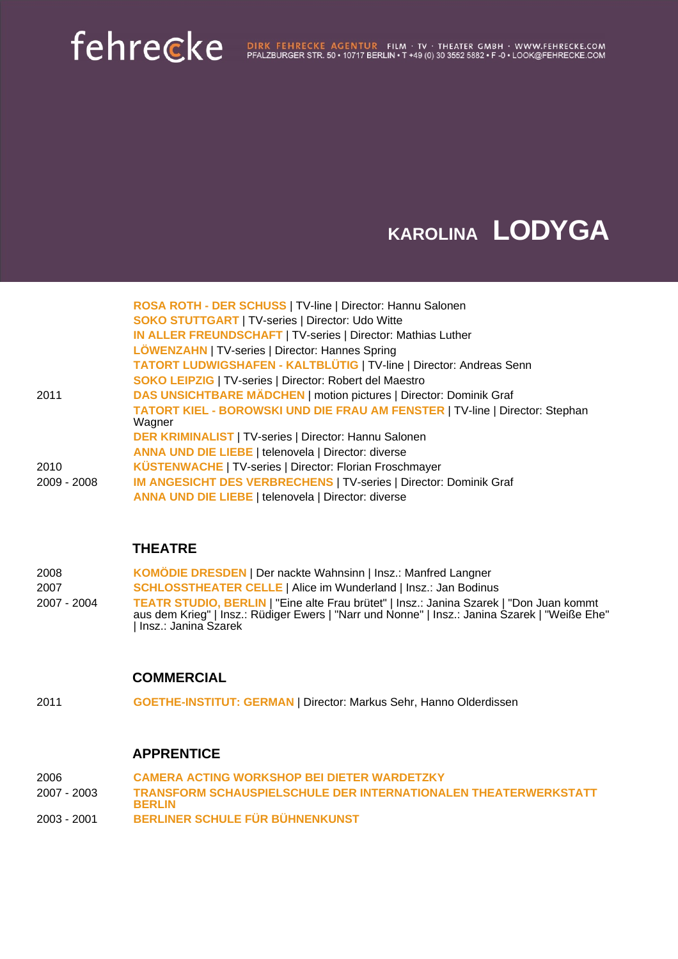## Fehrecke Agentur Film · TV · Theater GMBH · WWW.FEHRECKE.COM PFALZBURGER STR. 50 • 10717 BERLIN • T +49 (0) 30 3552 5882 • F -0 • LOOK@FEHRECKE.COM

### **KAROLINA LODYGA**

|             | ROSA ROTH - DER SCHUSS   TV-line   Director: Hannu Salonen                             |
|-------------|----------------------------------------------------------------------------------------|
|             | <b>SOKO STUTTGART   TV-series   Director: Udo Witte</b>                                |
|             | IN ALLER FREUNDSCHAFT   TV-series   Director: Mathias Luther                           |
|             | LÖWENZAHN   TV-series   Director: Hannes Spring                                        |
|             | <b>TATORT LUDWIGSHAFEN - KALTBLÜTIG   TV-line   Director: Andreas Senn</b>             |
|             | <b>SOKO LEIPZIG   TV-series   Director: Robert del Maestro</b>                         |
| 2011        | DAS UNSICHTBARE MÄDCHEN   motion pictures   Director: Dominik Graf                     |
|             | TATORT KIEL - BOROWSKI UND DIE FRAU AM FENSTER   TV-line   Director: Stephan<br>Wagner |
|             | <b>DER KRIMINALIST   TV-series   Director: Hannu Salonen</b>                           |
|             | <b>ANNA UND DIE LIEBE   telenovela   Director: diverse</b>                             |
| 2010        | KÜSTENWACHE   TV-series   Director: Florian Froschmayer                                |
| 2009 - 2008 | <b>IM ANGESICHT DES VERBRECHENS   TV-series   Director: Dominik Graf</b>               |
|             | <b>ANNA UND DIE LIEBE   telenovela   Director: diverse</b>                             |

### **THEATRE**

| 2008        | <b>KOMÖDIE DRESDEN   Der nackte Wahnsinn   Insz.: Manfred Langner</b>                                                                                                                                                     |
|-------------|---------------------------------------------------------------------------------------------------------------------------------------------------------------------------------------------------------------------------|
| 2007        | <b>SCHLOSSTHEATER CELLE   Alice im Wunderland   Insz.: Jan Bodinus</b>                                                                                                                                                    |
| 2007 - 2004 | <b>TEATR STUDIO, BERLIN</b>   "Eine alte Frau brütet"   Insz.: Janina Szarek   "Don Juan kommt<br>aus dem Krieg"   Insz.: Rüdiger Ewers   "Narr und Nonne"   Insz.: Janina Szarek   "Weiße Ehe"<br>  Insz.: Janina Szarek |

### **COMMERCIAL**

2011 **GOETHE-INSTITUT: GERMAN** | Director: Markus Sehr, Hanno Olderdissen

### **APPRENTICE**

| 2006        | <b>CAMERA ACTING WORKSHOP BEI DIETER WARDETZKY</b>                                      |
|-------------|-----------------------------------------------------------------------------------------|
| 2007 - 2003 | <b>TRANSFORM SCHAUSPIELSCHULE DER INTERNATIONALEN THEATERWERKSTATT</b><br><b>BERLIN</b> |
| 2003 - 2001 | BERLINER SCHULE FÜR BÜHNENKUNST                                                         |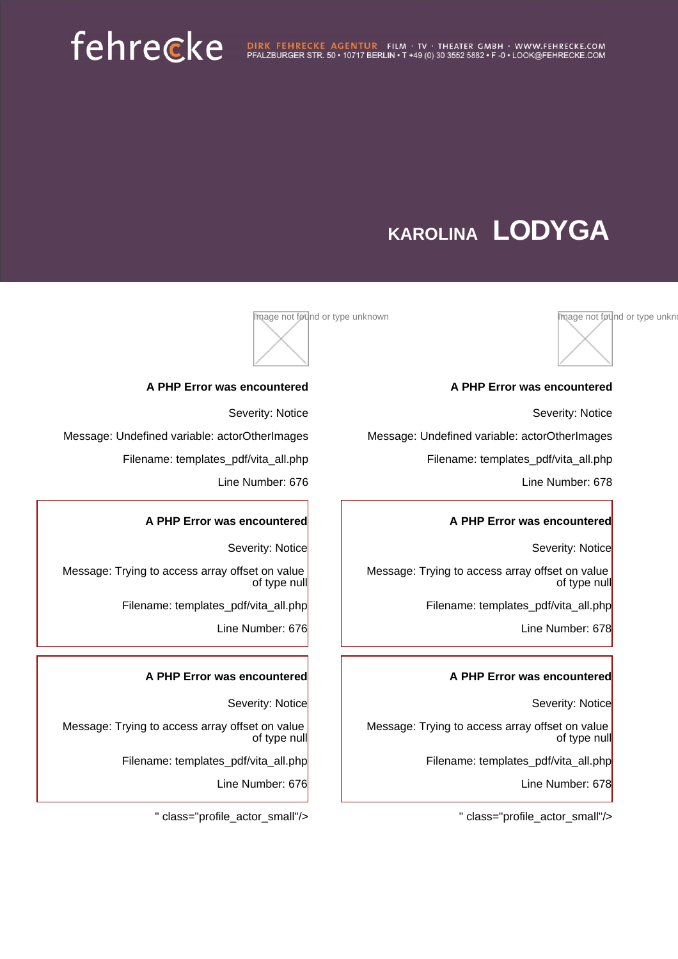## **KAROLINA LODYGA**



#### **A PHP Error was encountered**

Severity: Notice

Message: Undefined variable: actorOtherImages

Filename: templates\_pdf/vita\_all.php

Line Number: 678

#### **A PHP Error was encountered**

Severity: Notice

Message: Trying to access array offset on value of type null

Filename: templates\_pdf/vita\_all.php

Line Number: 678

#### **A PHP Error was encountered**

Severity: Notice

Message: Trying to access array offset on value of type null

Filename: templates\_pdf/vita\_all.php

Line Number: 678

" class="profile\_actor\_small"/>



#### **A PHP Error was encountered**

Severity: Notice

Message: Undefined variable: actorOtherImages

Filename: templates\_pdf/vita\_all.php

Line Number: 676

#### **A PHP Error was encountered**

Severity: Notice Message: Trying to access array offset on value of type null Filename: templates\_pdf/vita\_all.php

Line Number: 676

#### **A PHP Error was encountered**

Severity: Notice Message: Trying to access array offset on value of type null Filename: templates\_pdf/vita\_all.php

Line Number: 676

" class="profile\_actor\_small"/>